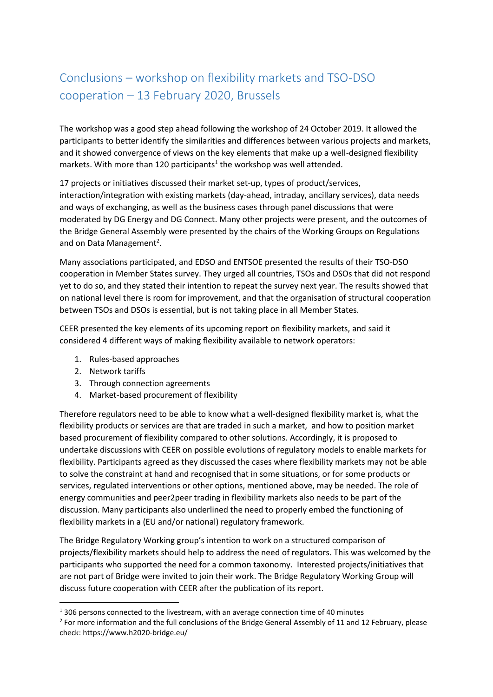## Conclusions – workshop on flexibility markets and TSO-DSO cooperation – 13 February 2020, Brussels

The workshop was a good step ahead following the workshop of 24 October 2019. It allowed the participants to better identify the similarities and differences between various projects and markets, and it showed convergence of views on the key elements that make up a well-designed flexibility markets. With more than 120 participants<sup>1</sup> the workshop was well attended.

17 projects or initiatives discussed their market set-up, types of product/services, interaction/integration with existing markets (day-ahead, intraday, ancillary services), data needs and ways of exchanging, as well as the business cases through panel discussions that were moderated by DG Energy and DG Connect. Many other projects were present, and the outcomes of the Bridge General Assembly were presented by the chairs of the Working Groups on Regulations and on Data Management<sup>2</sup>.

Many associations participated, and EDSO and ENTSOE presented the results of their TSO-DSO cooperation in Member States survey. They urged all countries, TSOs and DSOs that did not respond yet to do so, and they stated their intention to repeat the survey next year. The results showed that on national level there is room for improvement, and that the organisation of structural cooperation between TSOs and DSOs is essential, but is not taking place in all Member States.

CEER presented the key elements of its upcoming report on flexibility markets, and said it considered 4 different ways of making flexibility available to network operators:

- 1. Rules-based approaches
- 2. Network tariffs

**.** 

- 3. Through connection agreements
- 4. Market-based procurement of flexibility

Therefore regulators need to be able to know what a well-designed flexibility market is, what the flexibility products or services are that are traded in such a market, and how to position market based procurement of flexibility compared to other solutions. Accordingly, it is proposed to undertake discussions with CEER on possible evolutions of regulatory models to enable markets for flexibility. Participants agreed as they discussed the cases where flexibility markets may not be able to solve the constraint at hand and recognised that in some situations, or for some products or services, regulated interventions or other options, mentioned above, may be needed. The role of energy communities and peer2peer trading in flexibility markets also needs to be part of the discussion. Many participants also underlined the need to properly embed the functioning of flexibility markets in a (EU and/or national) regulatory framework.

The Bridge Regulatory Working group's intention to work on a structured comparison of projects/flexibility markets should help to address the need of regulators. This was welcomed by the participants who supported the need for a common taxonomy. Interested projects/initiatives that are not part of Bridge were invited to join their work. The Bridge Regulatory Working Group will discuss future cooperation with CEER after the publication of its report.

 $1$  306 persons connected to the livestream, with an average connection time of 40 minutes

<sup>&</sup>lt;sup>2</sup> For more information and the full conclusions of the Bridge General Assembly of 11 and 12 February, please check: https://www.h2020-bridge.eu/